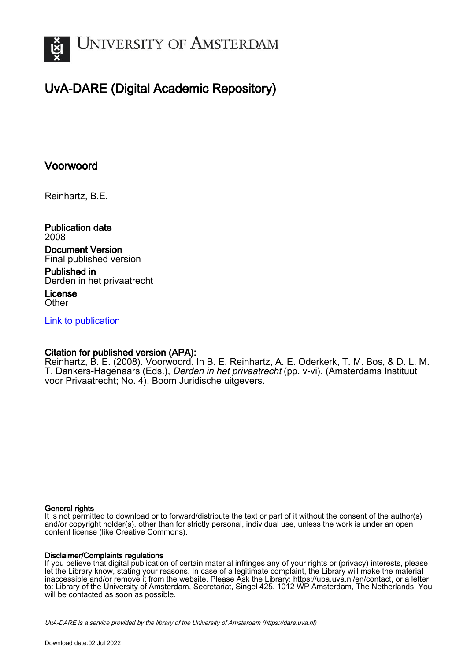

# UvA-DARE (Digital Academic Repository)

## Voorwoord

Reinhartz, B.E.

Publication date 2008

Document Version Final published version

Published in Derden in het privaatrecht

License **Other** 

[Link to publication](https://dare.uva.nl/personal/pure/en/publications/voorwoord(22098a5e-c80d-4129-8b5b-c956908a1b0b).html)

### Citation for published version (APA):

Reinhartz, B. E. (2008). Voorwoord. In B. E. Reinhartz, A. E. Oderkerk, T. M. Bos, & D. L. M. T. Dankers-Hagenaars (Eds.), Derden in het privaatrecht (pp. v-vi). (Amsterdams Instituut voor Privaatrecht; No. 4). Boom Juridische uitgevers.

#### General rights

It is not permitted to download or to forward/distribute the text or part of it without the consent of the author(s) and/or copyright holder(s), other than for strictly personal, individual use, unless the work is under an open content license (like Creative Commons).

#### Disclaimer/Complaints regulations

If you believe that digital publication of certain material infringes any of your rights or (privacy) interests, please let the Library know, stating your reasons. In case of a legitimate complaint, the Library will make the material inaccessible and/or remove it from the website. Please Ask the Library: https://uba.uva.nl/en/contact, or a letter to: Library of the University of Amsterdam, Secretariat, Singel 425, 1012 WP Amsterdam, The Netherlands. You will be contacted as soon as possible.

UvA-DARE is a service provided by the library of the University of Amsterdam (http*s*://dare.uva.nl)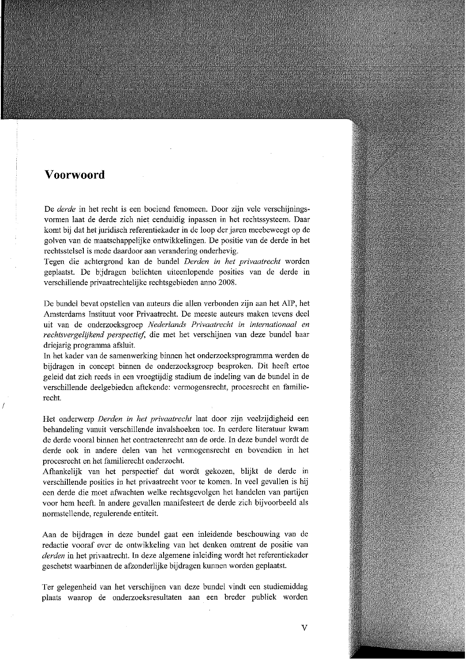## **Voorwoord**

De *derde* in het recht is een boeiend fenomeen. Door zijn vele verschijningsvormen laat de derde zich niet eenduidig inpassen in het rechtssysteem. Daar komt bij dat het juridisch referentiekader in de loop der jaren meebeweegt op de golven van de maatschappelijke ontwikkelingen. De positie van de derde in het rechtsstelsel is mede daardoor aan verandering onderhevig.

Tegen die achtergrond kan de bundel Derden in het privaatrecht worden geplaatst. De bijdragen belichten uiteenlopende posities van de derde in verschillende privaatrechtelijke rechtsgebieden anno 2008.

De bundel bevat opstellen van auteurs die allen verbonden zijn aan het AIP, het Amsterdams Instituut voor Privaatrecht. De meeste auteurs maken tevens deel uit van de onderzoeksgroep Nederlands Privaatrecht in internationaal en rechtsvergelijkend perspectief, die met het verschijnen van deze bundel haar driejarig programma afsluit.

In het kader van de samenwerking binnen het onderzoeksprogramma werden de bijdragen in concept binnen de onderzoeksgroep besproken. Dit heeft ertoe geleid dat zich reeds in een vroegtijdig stadium de indeling van de bundel in de verschillende deelgebieden aftekende: vermogensrecht, procesrecht en familierecht.

Het onderwerp Derden in het privaatrecht laat door zijn veelzijdigheid een behandeling vanuit verschillende invalshoeken toe. In eerdere literatuur kwam de derde vooral binnen het contractenrecht aan de orde. In deze bundel wordt de derde ook in andere delen van het vermogensrecht en bovendien in het procesrecht en het familierecht onderzocht.

Afhankelijk van het perspectief dat wordt gekozen, blijkt de derde in verschillende posities in het privaatrecht voor te komen. In veel gevallen is hij een derde die moet afwachten welke rechtsgevolgen het handelen van partijen voor hem heeft. In andere gevallen manifesteert de derde zich bijvoorbeeld als normstellende, regulerende entiteit.

Aan de bijdragen in deze bundel gaat een inleidende beschouwing van de redactie vooraf over de ontwikkeling van het denken omtrent de positie van derden in het privaatrecht. In deze algemene inleiding wordt het referentiekader geschetst waarbinnen de afzonderlijke bijdragen kunnen worden geplaatst.

Ter gelegenheid van het verschijnen van deze bundel vindt een studiemiddag plaats waarop de onderzoeksresultaten aan een breder publiek worden